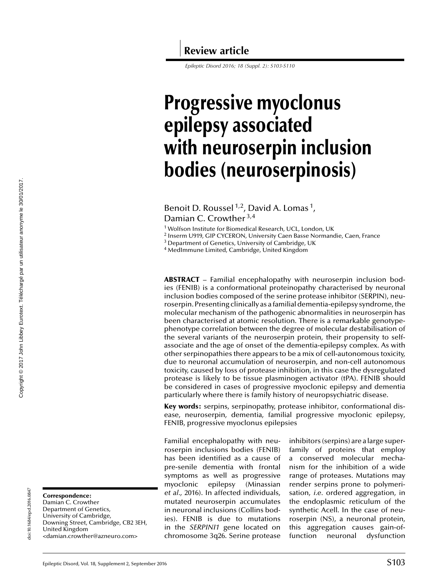*Epileptic Disord 2016; 18 (Suppl. 2): S103-S110*

# **Progressive myoclonus epilepsy associated with neuroserpin inclusion bodies (neuroserpinosis)**

Benoit D. Roussel<sup>1,2</sup>, David A. Lomas<sup>1</sup>, Damian C. Crowther 3,4

<sup>1</sup> Wolfson Institute for Biomedical Research, UCL, London, UK

<sup>2</sup> Inserm U919, GIP CYCERON, University Caen Basse Normandie, Caen, France

<sup>3</sup> Department of Genetics, University of Cambridge, UK

<sup>4</sup> MedImmune Limited, Cambridge, United Kingdom

**ABSTRACT** – Familial encephalopathy with neuroserpin inclusion bodies (FENIB) is a conformational proteinopathy characterised by neuronal inclusion bodies composed of the serine protease inhibitor (SERPIN), neuroserpin. Presenting clinically as a familial dementia-epilepsy syndrome, the molecular mechanism of the pathogenic abnormalities in neuroserpin has been characterised at atomic resolution. There is a remarkable genotypephenotype correlation between the degree of molecular destabilisation of the several variants of the neuroserpin protein, their propensity to selfassociate and the age of onset of the dementia-epilepsy complex. As with other serpinopathies there appears to be a mix of cell-autonomous toxicity, due to neuronal accumulation of neuroserpin, and non-cell autonomous toxicity, caused by loss of protease inhibition, in this case the dysregulated protease is likely to be tissue plasminogen activator (tPA). FENIB should be considered in cases of progressive myoclonic epilepsy and dementia particularly where there is family history of neuropsychiatric disease.

**Key words:** serpins, serpinopathy, protease inhibitor, conformational disease, neuroserpin, dementia, familial progressive myoclonic epilepsy, FENIB, progressive myoclonus epilepsies

Familial encephalopathy with neuroserpin inclusions bodies (FENIB) has been identified as a cause of pre-senile dementia with frontal symptoms as well as progressive myoclonic epilepsy [\(Minassian](#page-6-0) *[et al.](#page-6-0)*, [2016\).](#page-6-0) In affected individuals, mutated neuroserpin accumulates in neuronal inclusions (Collins bodies). FENIB is due to mutations in the *SERPINI1* gene located on chromosome 3q26. Serine protease

inhibitors (serpins) are a large superfamily of proteins that employ a conserved molecular mechanism for the inhibition of a wide range of proteases. Mutations may render serpins prone to polymerisation, *i.e.* ordered aggregation, in the endoplasmic reticulum of the synthetic Acell. In the case of neuroserpin (NS), a neuronal protein, this aggregation causes gain-offunction neuronal dysfunction

**Correspondence:**

doi:10.1684/epd.2016.0847

doi:10.1684/epd.2016.0847

Damian C. Crowther Department of Genetics, University of Cambridge, Downing Street, Cambridge, CB2 3EH, United Kingdom <[damian.crowther@azneuro.com](mailto:damian.crowther@azneuro.com)>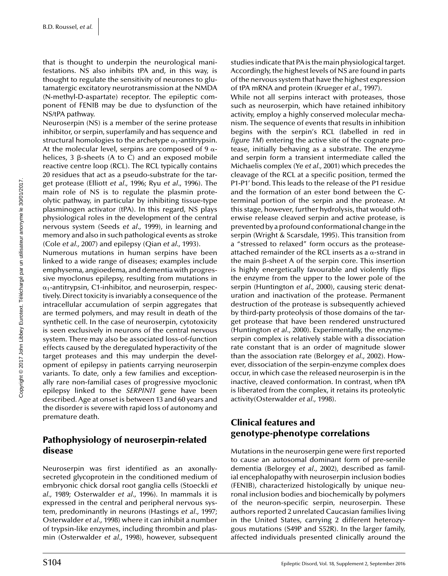that is thought to underpin the neurological manifestations. NS also inhibits tPA and, in this way, is thought to regulate the sensitivity of neurones to glutamatergic excitatory neurotransmission at the NMDA (N-methyl-D-aspartate) receptor. The epileptic component of FENIB may be due to dysfunction of the NS/tPA pathway.

Neuroserpin (NS) is a member of the serine protease inhibitor, or serpin, superfamily and has sequence and structural homologies to the archetype  $\alpha_1$ -antitrypsin. At the molecular level, serpins are composed of 9  $\alpha$ helices,  $3 \beta$ -sheets (A to C) and an exposed mobile reactive centre loop (RCL). The RCL typically contains 20 residues that act as a pseudo-substrate for the target protease [\(Elliott](#page-6-0) *[et a](#page-6-0)l*[., 1996; Ryu](#page-6-0) *[et a](#page-6-0)l*[., 1996\).](#page-6-0) The main role of NS is to regulate the plasmin proteolytic pathway, in particular by inhibiting tissue-type plasminogen activator (tPA). In this regard, NS plays physiological roles in the development of the central nervous system [\(Seeds](#page-6-0) *[et a](#page-6-0)l*[., 1999\),](#page-6-0) in learning and memory and also in such pathological events as stroke ([Cole](#page-5-0) *[et al.,](#page-5-0)* [2007\)](#page-5-0) and epilepsy ([Qian](#page-6-0) *[et a](#page-6-0)l*[., 1993\).](#page-6-0)

Numerous mutations in human serpins have been linked to a wide range of diseases; examples include emphysema, angioedema, and dementia with progressive myoclonus epilepsy, resulting from mutations in  $\alpha_1$ -antitrypsin, C1-inhibitor, and neuroserpin, respectively. Direct toxicity is invariably a consequence of the intracellular accumulation of serpin aggregates that are termed polymers, and may result in death of the synthetic cell. In the case of neuroserpin, cytotoxicity is seen exclusively in neurons of the central nervous system. There may also be associated loss-of-function effects caused by the deregulated hyperactivity of the target proteases and this may underpin the development of epilepsy in patients carrying neuroserpin variants. To date, only a few families and exceptionally rare non-familial cases of progressive myoclonic epilepsy linked to the *SERPINI1* gene have been described. Age at onset is between 13 and 60 years and the disorder is severe with rapid loss of autonomy and premature death.

#### **Pathophysiology of neuroserpin-related disease**

Neuroserpin was first identified as an axonallysecreted glycoprotein in the conditioned medium of embryonic chick dorsal root ganglia cells ([Stoeckli](#page-6-0) *[et](#page-6-0) [al.](#page-6-0)*, [1989; Osterwalder](#page-6-0) *[et a](#page-6-0)l*[., 1996\).](#page-6-0) In mammals it is expressed in the central and peripheral nervous system, predominantly in neurons [\(Hastings](#page-6-0) *[et al.,](#page-6-0)* [1997;](#page-6-0) [Osterwalder](#page-6-0) *[et al.,](#page-6-0)* [1998\)](#page-6-0) where it can inhibit a number of trypsin-like enzymes, including thrombin and plasmin ([Osterwalder](#page-6-0) *[et al.,](#page-6-0)* [1998\),](#page-6-0) however, subsequent studies indicate that PA is themain physiological target. Accordingly, the highest levels of NS are found in parts of the nervous system that have the highest expression of tPA mRNA and protein [\(Krueger](#page-6-0) *[et al.](#page-6-0)*, [1997\).](#page-6-0)

While not all serpins interact with proteases, those such as neuroserpin, which have retained inhibitory activity, employ a highly conserved molecular mechanism. The sequence of events that results in inhibition begins with the serpin's RCL (labelled in red in *[figure 1M](#page-2-0)*) entering the active site of the cognate protease, initially behaving as a substrate. The enzyme and serpin form a transient intermediate called the Michaelis complex ([Ye](#page-6-0) *[et al.](#page-6-0)*, [2001\)](#page-6-0) which precedes the cleavage of the RCL at a specific position, termed the P1-P1' bond. This leads to the release of the P1 residue and the formation of an ester bond between the Cterminal portion of the serpin and the protease. At this stage, however, further hydrolysis, that would otherwise release cleaved serpin and active protease, is prevented by a profound conformational change in the serpin ([Wright & Scarsdale, 1995\).](#page-6-0) This transition from a "stressed to relaxed" form occurs as the proteaseattached remainder of the RCL inserts as a  $\alpha$ -strand in the main  $\beta$ -sheet A of the serpin core. This insertion is highly energetically favourable and violently flips the enzyme from the upper to the lower pole of the serpin [\(Huntington](#page-6-0) *[et a](#page-6-0)l*[., 2000\),](#page-6-0) causing steric denaturation and inactivation of the protease. Permanent destruction of the protease is subsequently achieved by third-party proteolysis of those domains of the target protease that have been rendered unstructured ([Huntington](#page-6-0) *[et a](#page-6-0)l*[., 2000\).](#page-6-0) Experimentally, the enzymeserpin complex is relatively stable with a dissociation rate constant that is an order of magnitude slower than the association rate [\(Belorgey](#page-5-0) *[et a](#page-5-0)l*[., 2002\).](#page-5-0) However, dissociation of the serpin-enzyme complex does occur, in which case the released neuroserpin is in the inactive, cleaved conformation. In contrast, when tPA is liberated from the complex, it retains its proteolytic activity[\(Osterwalder](#page-6-0) *[et al.](#page-6-0)*, [1998\).](#page-6-0)

## **Clinical features and genotype-phenotype correlations**

Mutations in the neuroserpin gene were first reported to cause an autosomal dominant form of pre-senile dementia ([Belorgey](#page-5-0) *[et a](#page-5-0)l*[., 2002\),](#page-5-0) described as familial encephalopathy with neuroserpin inclusion bodies (FENIB), characterized histologically by unique neuronal inclusion bodies and biochemically by polymers of the neuron-specific serpin, neuroserpin. These authors reported 2 unrelated Caucasian families living in the United States, carrying 2 different heterozygous mutations (S49P and S52R). In the larger family, affected individuals presented clinically around the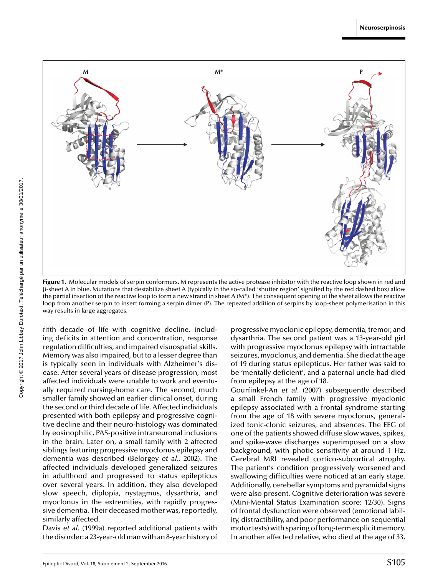<span id="page-2-0"></span>

**Figure 1.** Molecular models of serpin conformers. M represents the active protease inhibitor with the reactive loop shown in red and -sheet A in blue. Mutations that destabilize sheet A (typically in the so-called 'shutter region' signified by the red dashed box) allow the partial insertion of the reactive loop to form a new strand in sheet A (M\*). The consequent opening of the sheet allows the reactive loop from another serpin to insert forming a serpin dimer (P). The repeated addition of serpins by loop-sheet polymerisation in this way results in large aggregates.

fifth decade of life with cognitive decline, including deficits in attention and concentration, response regulation difficulties, and impaired visuospatial skills. Memory was also impaired, but to a lesser degree than is typically seen in individuals with Alzheimer's disease. After several years of disease progression, most affected individuals were unable to work and eventually required nursing-home care. The second, much smaller family showed an earlier clinical onset, during the second or third decade of life. Affected individuals presented with both epilepsy and progressive cognitive decline and their neuro-histology was dominated by eosinophilic, PAS-positive intraneuronal inclusions in the brain. Later on, a small family with 2 affected siblings featuring progressive myoclonus epilepsy and dementia was described ([Belorgey](#page-5-0) *[et a](#page-5-0)l*[., 2002\).](#page-5-0) The affected individuals developed generalized seizures in adulthood and progressed to status epilepticus over several years. In addition, they also developed slow speech, diplopia, nystagmus, dysarthria, and myoclonus in the extremities, with rapidly progressive dementia. Their deceased mother was, reportedly, similarly affected.

[Davis](#page-5-0) *[et a](#page-5-0)l*[. \(1999a\) r](#page-5-0)eported additional patients with the disorder: a 23-year-oldman with an 8-year history of

progressive myoclonic epilepsy, dementia, tremor, and dysarthria. The second patient was a 13-year-old girl with progressive myoclonus epilepsy with intractable seizures, myoclonus, and dementia. She died at the age of 19 during status epilepticus. Her father was said to be 'mentally deficient', and a paternal uncle had died from epilepsy at the age of 18.

[Gourfinkel-An](#page-6-0) *[et al.](#page-6-0)* [\(2007\)](#page-6-0) subsequently described a small French family with progressive myoclonic epilepsy associated with a frontal syndrome starting from the age of 18 with severe myoclonus, generalized tonic-clonic seizures, and absences. The EEG of one of the patients showed diffuse slow waves, spikes, and spike-wave discharges superimposed on a slow background, with photic sensitivity at around 1 Hz. Cerebral MRI revealed cortico-subcortical atrophy. The patient's condition progressively worsened and swallowing difficulties were noticed at an early stage. Additionally, cerebellar symptoms and pyramidal signs were also present. Cognitive deterioration was severe (Mini-Mental Status Examination score: 12/30). Signs of frontal dysfunction were observed (emotional lability, distractibility, and poor performance on sequential motor tests) with sparing of long-term explicit memory. In another affected relative, who died at the age of 33,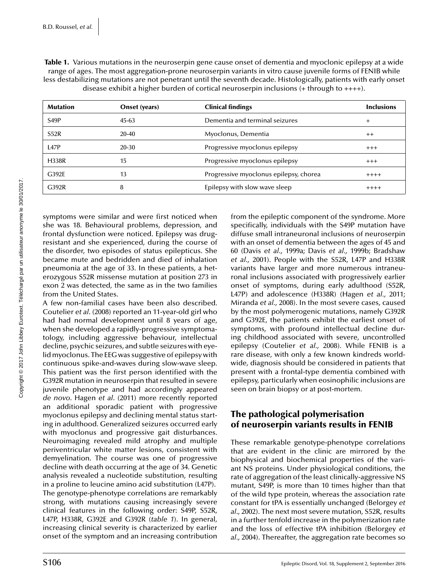| <b>Mutation</b>   | <b>Onset (years)</b> | <b>Clinical findings</b>               | <b>Inclusions</b> |
|-------------------|----------------------|----------------------------------------|-------------------|
| S <sub>49</sub> P | $45-63$              | Dementia and terminal seizures         | $^{+}$            |
| S52R              | $20 - 40$            | Myoclonus, Dementia                    | $++$              |
| L47P              | 20-30                | Progressive myoclonus epilepsy         | $+++$             |
| <b>H338R</b>      | 15                   | Progressive myoclonus epilepsy         | $+++$             |
| G392E             | 13                   | Progressive myoclonus epilepsy, chorea | $++++$            |
| G392R             | 8                    | Epilepsy with slow wave sleep          | $++++$            |

**Table 1.** Various mutations in the neuroserpin gene cause onset of dementia and myoclonic epilepsy at a wide range of ages. The most aggregation-prone neuroserpin variants in vitro cause juvenile forms of FENIB while less destabilizing mutations are not penetrant until the seventh decade. Histologically, patients with early onset disease exhibit a higher burden of cortical neuroserpin inclusions (+ through to ++++).

symptoms were similar and were first noticed when she was 18. Behavioural problems, depression, and frontal dysfunction were noticed. Epilepsy was drugresistant and she experienced, during the course of the disorder, two episodes of status epilepticus. She became mute and bedridden and died of inhalation pneumonia at the age of 33. In these patients, a heterozygous S52R missense mutation at position 273 in exon 2 was detected, the same as in the two families from the United States.

A few non-familial cases have been also described. [Coutelier](#page-5-0) *[et a](#page-5-0)l*[. \(2008\) r](#page-5-0)eported an 11-year-old girl who had had normal development until 8 years of age, when she developed a rapidly-progressive symptomatology, including aggressive behaviour, intellectual decline, psychic seizures, and subtle seizures with eyelid myoclonus. The EEG was suggestive of epilepsy with continuous spike-and-waves during slow-wave sleep. This patient was the first person identified with the G392R mutation in neuroserpin that resulted in severe juvenile phenotype and had accordingly appeared *de novo*. [Hagen](#page-6-0) *[et a](#page-6-0)l*[. \(2011\) m](#page-6-0)ore recently reported an additional sporadic patient with progressive myoclonus epilepsy and declining mental status starting in adulthood. Generalized seizures occurred early with myoclonus and progressive gait disturbances. Neuroimaging revealed mild atrophy and multiple periventricular white matter lesions, consistent with demyelination. The course was one of progressive decline with death occurring at the age of 34. Genetic analysis revealed a nucleotide substitution, resulting in a proline to leucine amino acid substitution (L47P). The genotype-phenotype correlations are remarkably strong, with mutations causing increasingly severe clinical features in the following order: S49P, S52R, L47P, H338R, G392E and G392R (*table 1*). In general, increasing clinical severity is characterized by earlier onset of the symptom and an increasing contribution from the epileptic component of the syndrome. More specifically, individuals with the S49P mutation have diffuse small intraneuronal inclusions of neuroserpin with an onset of dementia between the ages of 45 and 60 [\(Davis](#page-5-0) *[et al.,](#page-5-0)* [1999a; Davis](#page-5-0) *[et al.,](#page-5-0)* [1999b; Bradshaw](#page-5-0) *[et al.,](#page-5-0)* [2001\).](#page-5-0) People with the S52R, L47P and H338R variants have larger and more numerous intraneuronal inclusions associated with progressively earlier onset of symptoms, during early adulthood (S52R, L47P) and adolescence (H338R) ([Hagen](#page-6-0) *[et al.,](#page-6-0)* [2011;](#page-6-0) [Miranda](#page-6-0) *[et al.,](#page-6-0)* [2008\).](#page-6-0) In the most severe cases, caused by the most polymerogenic mutations, namely G392R and G392E, the patients exhibit the earliest onset of symptoms, with profound intellectual decline during childhood associated with severe, uncontrolled epilepsy ([Coutelier](#page-5-0) *[et al.,](#page-5-0)* [2008\).](#page-5-0) While FENIB is a rare disease, with only a few known kindreds worldwide, diagnosis should be considered in patients that present with a frontal-type dementia combined with epilepsy, particularly when eosinophilic inclusions are seen on brain biopsy or at post-mortem.

#### **The pathological polymerisation of neuroserpin variants results in FENIB**

These remarkable genotype-phenotype correlations that are evident in the clinic are mirrored by the biophysical and biochemical properties of the variant NS proteins. Under physiological conditions, the rate of aggregation of the least clinically-aggressive NS mutant, S49P, is more than 10 times higher than that of the wild type protein, whereas the association rate constant for tPA is essentially unchanged ([Belorgey](#page-5-0) *[et](#page-5-0) al*[., 2002\).](#page-5-0) The next most severe mutation, S52R, results in a further tenfold increase in the polymerization rate and the loss of effective tPA inhibition ([Belorgey](#page-5-0) *[et](#page-5-0) [al.](#page-5-0)*, [2004\).](#page-5-0) Thereafter, the aggregation rate becomes so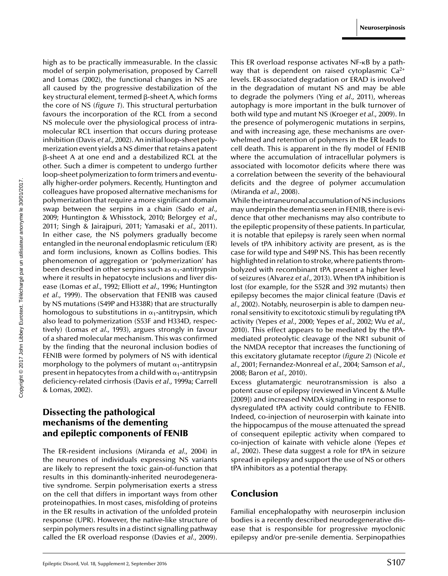high as to be practically immeasurable. In the classic model of serpin polymerisation, proposed by [Carrell](#page-5-0) [and Lomas \(2002\),](#page-5-0) the functional changes in NS are all caused by the progressive destabilization of the key structural element, termed  $\beta$ -sheet A, which forms the core of NS (*[figure 1](#page-2-0)*). This structural perturbation favours the incorporation of the RCL from a second NS molecule over the physiological process of intramolecular RCL insertion that occurs during protease inhibition [\(Davis](#page-6-0) *[et al.,](#page-6-0)* [2002\).](#page-6-0) An initial loop-sheet polymerization event yields a NS dimer that retains a patent -sheet A at one end and a destabilized RCL at the other. Such a dimer is competent to undergo further loop-sheet polymerization to form trimers and eventually higher-order polymers. Recently, Huntington and colleagues have proposed alternative mechanisms for polymerization that require a more significant domain swap between the serpins in a chain ([Sado](#page-6-0) *[et al.,](#page-6-0)* [2009; Huntington & Whisstock, 2010; Belorgey](#page-6-0) *[et al.,](#page-6-0)* [2011; Singh & Jairajpuri, 2011; Yamasaki](#page-6-0) *[et a](#page-6-0)l*[., 2011\).](#page-6-0) In either case, the NS polymers gradually become entangled in the neuronal endoplasmic reticulum (ER) and form inclusions, known as Collins bodies. This phenomenon of aggregation or 'polymerization' has been described in other serpins such as  $\alpha_1$ -antitrypsin where it results in hepatocyte inclusions and liver disease ([Lomas](#page-6-0) *[et a](#page-6-0)l*[., 1992; Elliott](#page-6-0) *[et a](#page-6-0)l*[., 1996; Huntington](#page-6-0) *[et al.](#page-6-0)*, [1999\).](#page-6-0) The observation that FENIB was caused by NS mutations (S49P and H338R) that are structurally homologous to substitutions in  $\alpha_1$ -antitrypsin, which also lead to polymerization (S53F and H334D, respectively) ([Lomas](#page-6-0) *[et a](#page-6-0)l*[., 1993\),](#page-6-0) argues strongly in favour of a shared molecular mechanism. This was confirmed by the finding that the neuronal inclusion bodies of FENIB were formed by polymers of NS with identical morphology to the polymers of mutant  $\alpha_1$ -antitrypsin present in hepatocytes from a child with  $\alpha_1$ -antitrypsin deficiency-related cirrhosis [\(Davis](#page-5-0) *[et al.](#page-5-0)*, [1999a; Carrell](#page-5-0) [& Lomas, 2002\).](#page-5-0)

## **Dissecting the pathological mechanisms of the dementing and epileptic components of FENIB**

The ER-resident inclusions [\(Miranda](#page-6-0) *[et a](#page-6-0)l*[., 2004\)](#page-6-0) in the neurones of individuals expressing NS variants are likely to represent the toxic gain-of-function that results in this dominantly-inherited neurodegenerative syndrome. Serpin polymerisation exerts a stress on the cell that differs in important ways from other proteinopathies. In most cases, misfolding of proteins in the ER results in activation of the unfolded protein response (UPR). However, the native-like structure of serpin polymers results in a distinct signalling pathway called the ER overload response [\(Davies](#page-6-0) *[et al.](#page-6-0)*, [2009\).](#page-6-0) This ER overload response activates  $NF$ - $\kappa$ B by a pathway that is dependent on raised cytoplasmic  $Ca^{2+}$ levels. ER-associated degradation or ERAD is involved in the degradation of mutant NS and may be able to degrade the polymers ([Ying](#page-7-0) *[et a](#page-7-0)l*[., 2011\),](#page-7-0) whereas autophagy is more important in the bulk turnover of both wild type and mutant NS [\(Kroeger](#page-6-0) *[et al.](#page-6-0)*, [2009\).](#page-6-0) In the presence of polymerogenic mutations in serpins, and with increasing age, these mechanisms are overwhelmed and retention of polymers in the ER leads to cell death. This is apparent in the fly model of FENIB where the accumulation of intracellular polymers is associated with locomotor deficits where there was a correlation between the severity of the behavioural deficits and the degree of polymer accumulation ([Miranda](#page-6-0) *[et al.](#page-6-0)*, [2008\).](#page-6-0)

While the intraneuronal accumulation of NS inclusions may underpin the dementia seen in FENIB, there is evidence that other mechanisms may also contribute to the epileptic propensity of these patients. In particular, it is notable that epilepsy is rarely seen when normal levels of tPA inhibitory activity are present, as is the case for wild type and S49P NS. This has been recently highlighted in relation to stroke, where patients thrombolyzed with recombinant tPA present a higher level of seizures [\(Alvarez](#page-5-0) *[et a](#page-5-0)l*[., 2013\).](#page-5-0) When tPA inhibition is lost (for example, for the S52R and 392 mutants) then epilepsy becomes the major clinical feature ([Davis](#page-6-0) *[et](#page-6-0) [al.,](#page-6-0)* [2002\).](#page-6-0) Notably, neuroserpin is able to dampen neuronal sensitivity to excitotoxic stimuli by regulating tPA activity ([Yepes](#page-7-0) *[et al.](#page-7-0)*, [2000; Yepes](#page-7-0) *[et al.](#page-7-0)*, [2002; Wu](#page-7-0) *[et al](#page-7-0)*., [2010\).](#page-7-0) This effect appears to be mediated by the tPAmediated proteolytic cleavage of the NR1 subunit of the NMDA receptor that increases the functioning of this excitatory glutamate receptor (*[figure 2](#page-5-0)*) [\(Nicole](#page-6-0) *[et](#page-6-0) [al.,](#page-6-0)* [2001; Fernandez-Monreal](#page-6-0) *[et al.,](#page-6-0)* [2004; Samson](#page-6-0) *[et al.](#page-6-0)*, [2008; Baron](#page-6-0) *[et al.,](#page-6-0)* [2010\).](#page-6-0)

Excess glutamatergic neurotransmission is also a potent cause of epilepsy (reviewed in [Vincent & Mulle](#page-6-0) [\[2009\]\)](#page-6-0) and increased NMDA signalling in response to dysregulated tPA activity could contribute to FENIB. Indeed, co-injection of neuroserpin with kainate into the hippocampus of the mouse attenuated the spread of consequent epileptic activity when compared to co-injection of kainate with vehicle alone ([Yepes](#page-7-0) *[et](#page-7-0) [al.,](#page-7-0)* [2002\).](#page-7-0) These data suggest a role for tPA in seizure spread in epilepsy and support the use of NS or others tPA inhibitors as a potential therapy.

#### **Conclusion**

Familial encephalopathy with neuroserpin inclusion bodies is a recently described neurodegenerative disease that is responsible for progressive myoclonic epilepsy and/or pre-senile dementia. Serpinopathies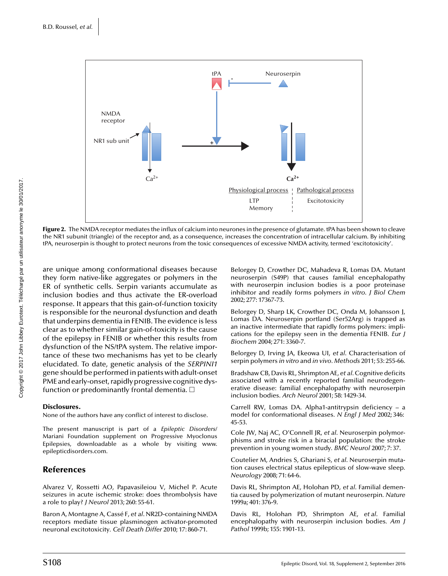<span id="page-5-0"></span>

**Figure 2.** The NMDA receptor mediates the influx of calcium into neurones in the presence of glutamate. tPA has been shown to cleave the NR1 subunit (triangle) of the receptor and, as a consequence, increases the concentration of intracellular calcium. By inhibiting tPA, neuroserpin is thought to protect neurons from the toxic consequences of excessive NMDA activity, termed 'excitotoxicity'.

are unique among conformational diseases because they form native-like aggregates or polymers in the ER of synthetic cells. Serpin variants accumulate as inclusion bodies and thus activate the ER-overload response. It appears that this gain-of-function toxicity is responsible for the neuronal dysfunction and death that underpins dementia in FENIB. The evidence is less clear as to whether similar gain-of-toxicity is the cause of the epilepsy in FENIB or whether this results from dysfunction of the NS/tPA system. The relative importance of these two mechanisms has yet to be clearly elucidated. To date, genetic analysis of the *SERPINI1* gene should be performed in patients with adult-onset PME and early-onset, rapidly progressive cognitive dysfunction or predominantly frontal dementia.  $\Box$ 

#### **Disclosures.**

None of the authors have any conflict of interest to disclose.

The present manuscript is part of a *Epileptic Disorders*/ Mariani Foundation supplement on Progressive Myoclonus Epilepsies, downloadable as a whole by visiting www. epilepticdisorders.com.

#### **References**

[Alvarez V, Rossetti AO, Papavasileiou V, Michel P. Acute](http://www.ncbi.nlm.nih.gov/pubmed?term=Acute seizures in acute ischemic stroke: does thrombolysis have a role to play?) seizures in acute ischemic stroke: does thrombolysis have a role to play? *J Neurol* 2013; 260: 55-61.

Baron A, Montagne A, Cassé F, *et al*. NR2D-containing NMDA [receptors mediate tissue plasminogen activator-promoted](http://www.ncbi.nlm.nih.gov/pubmed?term=NR2D-containing NMDA receptors mediate tissue plasminogen activator-promoted neuronal excitotoxicity) neuronal excitotoxicity*. Cell Death Differ* 2010; 17: 860-71.

[Belorgey D, Crowther DC, Mahadeva R, Lomas DA. Mutant](http://www.ncbi.nlm.nih.gov/pubmed?term=Mutant neuroserpin (S49P) that causes familial encephalopathy with neuroserpin inclusion bodies is a poor proteinase inhibitor and readily forms polymers in vitro) neuroserpin (S49P) that causes familial encephalopathy with neuroserpin inclusion bodies is a poor proteinase inhibitor and readily forms polymers *in vitro. J Biol Chem* 2002; 277: 17367-73.

Belorgey D, Sharp LK, Crowther DC, Onda M, Johansson J, Lomas DA. Neuroserpin portland (Ser52Arg) is trapped as [an inactive intermediate that rapidly forms polymers: impli](http://www.ncbi.nlm.nih.gov/pubmed?term=Neuroserpin portland (Ser52Arg) is trapped as an inactive intermediate that rapidly forms polymers: implications for the epilepsy seen in the dementia FENIB)cations for the epilepsy seen in the dementia FENIB*. Eur J Biochem* 2004; 271: 3360-7.

[Belorgey D, Irving JA, Ekeowa UI,](http://www.ncbi.nlm.nih.gov/pubmed?term=Characterisation of serpin polymers in vitro and in vivo) *et al*. Characterisation of serpin polymers *in vitro* and *in vivo. Methods* 2011; 53: 255-66.

Bradshaw CB, Davis RL, Shrimpton AE, *et al*. Cognitive deficits [associated with a recently reported familial neurodegen](http://www.ncbi.nlm.nih.gov/pubmed?term=Cognitive deficits associated with a recently reported familial neurodegenerative disease familial encephalopathy with neuroserpin inclusion bodies)erative disease: familial encephalopathy with neuroserpin inclusion bodies*. Arch Neurol* 2001; 58: 1429-34.

[Carrell RW, Lomas DA. Alpha1-antitrypsin deficiency – a](http://www.ncbi.nlm.nih.gov/pubmed?term=Alpha1-antitrypsin deficiency unhbox voidb@x hbox {--} a model for conformational diseases) model for conformational diseases*. N Engl J Med* 2002; 346: 45-53.

Cole JW, Naj AC, O'Connell JR, *et al*. Neuroserpin polymor[phisms and stroke risk in a biracial population: the stroke](http://www.ncbi.nlm.nih.gov/pubmed?term=Neuroserpin polymorphisms and stroke risk in a biracial population: the stroke prevention in young women study) prevention in young women study*. BMC Neurol* 2007; 7: 37.

Coutelier M, Andries S, Ghariani S, *et al*. Neuroserpin muta[tion causes electrical status epilepticus of slow-wave sleep](http://www.ncbi.nlm.nih.gov/pubmed?term=Neuroserpin mutation causes electrical status epilepticus of slow-wave sleep)*. Neurology* 2008; 71: 64-6.

Davis RL, Shrimpton AE, Holohan PD, *et al*. Familial demen[tia caused by polymerization of mutant neuroserpin](http://www.ncbi.nlm.nih.gov/pubmed?term=Familial dementia caused by polymerization of mutant neuroserpin)*. Nature* 1999a; 401: 376-9.

Davis RL, Holohan PD, Shrimpton AE, *et al*. Familial [encephalopathy with neuroserpin inclusion bodies](http://www.ncbi.nlm.nih.gov/pubmed?term=Familial encephalopathy with neuroserpin inclusion bodies)*. Am J Pathol* 1999b; 155: 1901-13.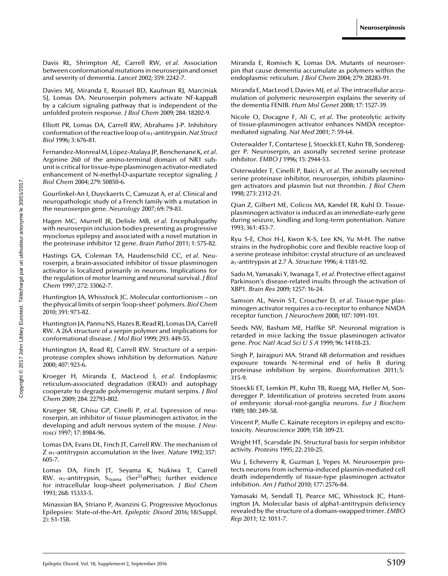<span id="page-6-0"></span>Davis RL, Shrimpton AE, Carrell RW, *et al*. Association [between conformational mutations in neuroserpin and onset](http://www.ncbi.nlm.nih.gov/pubmed?term=Association between conformational mutations in neuroserpin and onset and severity of dementia) and severity of dementia*. Lancet* 2002; 359: 2242-7.

Davies MJ, Miranda E, Roussel BD, Kaufman RJ, Marciniak SI, Lomas DA. Neuroserpin polymers activate NF-kappaB by a calcium signaling pathway that is independent of the unfolded protein response*. J Biol Chem* 2009; 284: 18202-9.

[Elliott PR, Lomas DA, Carrell RW, Abrahams J-P. Inhibitory](http://www.ncbi.nlm.nih.gov/pubmed?term=Inhibitory conformation of the reactive loop of 1-antitrypsin) conformation of the reactive loop of-1-antitrypsin*. Nat Struct Biol* 1996; 3: 676-81.

Fernandez-MonrealM, López-Atalaya JP, Benchenane K, *et al*. Arginine 260 of the amino-terminal domain of NR1 sub[unit is critical for tissue-type plasminogen activator-mediated](http://www.ncbi.nlm.nih.gov/pubmed?term=Arginine 260 of the amino-terminal domain of NR1 subunit is critical for tissue-type plasminogen activator-mediated enhancement of N-methyl-D-aspartate receptor signaling) enhancement of N-methyl-D-aspartate receptor signaling*. J Biol Chem* 2004; 279: 50850-6.

Gourfinkel-An I, Duyckaerts C, Camuzat A, *et al*. Clinical and [neuropathologic study of a French family with a mutation in](http://www.ncbi.nlm.nih.gov/pubmed?term=Clinical and neuropathologic study of a French family with a mutation in the neuroserpin gene) the neuroserpin gene*. Neurology* 2007; 69: 79-83.

Hagen MC, Murrell JR, Delisle MB, *et al*. Encephalopathy [with neuroserpin inclusion bodies presenting as progressive](http://www.ncbi.nlm.nih.gov/pubmed?term=Encephalopathy with neuroserpin inclusion bodies presenting as progressive myoclonus epilepsy and associated with a novel mutation in the proteinase inhibitor 12 gene) myoclonus epilepsy and associated with a novel mutation in the proteinase inhibitor 12 gene*. Brain Pathol* 2011; 1: 575-82.

Hastings GA, Coleman TA, Haudenschild CC, *et al*. Neuroserpin, a brain-associated inhibitor of tissue plasminogen [activator is localized primarily in neurons. Implications for](http://www.ncbi.nlm.nih.gov/pubmed?term=Neuroserpin, a brain-associated inhibitor of tissue plasminogen activator is localized primarily in neurons. Implications for the regulation of motor learning and neuronal survival) the regulation of motor learning and neuronal survival*. J Biol Chem* 1997; 272: 33062-7.

[Huntington JA, Whisstock JC. Molecular contortionism – on](http://www.ncbi.nlm.nih.gov/pubmed?term=Molecular contortionism unhbox voidb@x hbox {--} on the physical limits of serpin ) the physical limits of serpin 'loop-sheet' polymers*. Biol Chem* 2010; 391: 973-82.

Huntington JA, Pannu NS, Hazes B, Read RJ, Lomas DA, Carrell [RW. A 26Å structure of a serpin polymer and implications for](http://www.ncbi.nlm.nih.gov/pubmed?term=A 26� structure of a serpin polymer and implications for conformational disease) conformational disease*. J Mol Biol* 1999; 293: 449-55.

[Huntington JA, Read RJ, Carrell RW. Structure of a serpin](http://www.ncbi.nlm.nih.gov/pubmed?term=Structure of a serpin-protease complex shows inhibition by deformation)protease complex shows inhibition by deformation*. Nature* 2000; 407: 923-6.

Kroeger H, Miranda E, MacLeod I, *et al*. Endoplasmic [reticulum-associated degradation \(ERAD\) and autophagy](http://www.ncbi.nlm.nih.gov/pubmed?term=Endoplasmic reticulum-associated degradation (ERAD) and autophagy cooperate to degrade polymerogenic mutant serpins) cooperate to degrade polymerogenic mutant serpins*. J Biol Chem* 2009; 284: 22793-802.

Krueger SR, Ghisu GP, Cinelli P, *et al*. Expression of neu[roserpin, an inhibitor of tissue plasminogen activator, in the](http://www.ncbi.nlm.nih.gov/pubmed?term=Expression of neuroserpin, an inhibitor of tissue plasminogen activator, in the developing and adult nervous system of the mouse) developing and adult nervous system of the mouse*. J Neurosci* 1997; 17: 8984-96.

[Lomas DA, Evans DL, Finch JT, Carrell RW. The mechanism of](http://www.ncbi.nlm.nih.gov/pubmed?term=The mechanism of Z 1-antitrypsin accumulation in the liver) Z α<sub>1</sub>-antitrypsin accumulation in the liver. *Nature* 1992; 357: 605-7.

[Lomas DA, Finch JT, Seyama K, Nukiwa T, Carrell](http://www.ncbi.nlm.nih.gov/pubmed?term=Antitrypsin, Siiyama (Ser53oPhe); further evidence for intracellular loop-sheet polymerisation) RW.  $\alpha_1$ -antitrypsin, S<sub>iiyama</sub> (Ser $^{53}$ øPhe); further evidence for intracellular loop-sheet polymerisation*. J Biol Chem* 1993; 268: 15333-5.

[Minassian BA, Striano P, Avanzini G. Progressive Myoclonus](http://www.ncbi.nlm.nih.gov/pubmed?term=Progressive Myoclonus Epilepsies: State-of-the-Art) Epilepsies: State-of-the-Art*. Epileptic Disord* 2016; 18(Suppl. 2): S1-158.

Miranda E, Romisch K, Lomas DA. Mutants of neuroser[pin that cause dementia accumulate as polymers within the](http://www.ncbi.nlm.nih.gov/pubmed?term=Mutants of neuroserpin that cause dementia accumulate as polymers within the endoplasmic reticulum) endoplasmic reticulum*. J Biol Chem* 2004; 279: 28283-91.

Miranda E, MacLeod I, Davies MJ, *et al*. The intracellular accu[mulation of polymeric neuroserpin explains the severity of](http://www.ncbi.nlm.nih.gov/pubmed?term=The intracellular accumulation of polymeric neuroserpin explains the severity of the dementia FENIB) the dementia FENIB*. Hum Mol Genet* 2008; 17: 1527-39.

Nicole O, Docagne F, Ali C, *et al*. The proteolytic activity [of tissue-plasminogen activator enhances NMDA receptor](http://www.ncbi.nlm.nih.gov/pubmed?term=The proteolytic activity of tissue-plasminogen activator enhances NMDA receptor-mediated signaling)mediated signaling*. Nat Med* 2001; 7: 59-64.

Osterwalder T, Contartese J, Stoeckli ET, Kuhn TB, Sondereg[ger P. Neuroserpin, an axonally secreted serine protease](http://www.ncbi.nlm.nih.gov/pubmed?term=Neuroserpin, an axonally secreted serine protease inhibitor) inhibitor*. EMBO J* 1996; 15: 2944-53.

Osterwalder T, Cinelli P, Baici A, *et al*. The axonally secreted [serine proteinase inhibitor, neuroserpin, inhibits plasmino](http://www.ncbi.nlm.nih.gov/pubmed?term=The axonally secreted serine proteinase inhibitor, neuroserpin, inhibits plasminogen activators and plasmin but not thrombin)gen activators and plasmin but not thrombin*. J Biol Chem* 1998; 273: 2312-21.

Qian Z, Gilbert ME, Colicos MA, Kandel ER, Kuhl D. Tissue[plasminogen activator is induced as an immediate-early gene](http://www.ncbi.nlm.nih.gov/pubmed?term=Tissue-plasminogen activator is induced as an immediate-early gene during seizure, kindling and long-term potentiation) during seizure, kindling and long-term potentiation*. Nature* 1993; 361: 453-7.

[Ryu S-E, Choi H-J, Kwon K-S, Lee KN, Yu M-H. The native](http://www.ncbi.nlm.nih.gov/pubmed?term=The native strains in the hydrophobic core and flexible reactive loop of a serine protease inhibitor: crystal structure of an uncleaved a1-antitrypsin at 2.7 A) strains in the hydrophobic core and flexible reactive loop of a serine protease inhibitor: crystal structure of an uncleaved a1-antitrypsin at 2.7 Å*. Structure* 1996; 4: 1181-92.

Sado M, Yamasaki Y, Iwanaga T, *et al*. Protective effect against [Parkinson's disease-related insults through the activation of](http://www.ncbi.nlm.nih.gov/pubmed?term=Protective effect against Parkinson{) XBP1*. Brain Res* 2009; 1257: 16-24.

Samson AL, Nevin ST, Croucher D, *et al*. Tissue-type plas[minogen activator requires a co-receptor to enhance NMDA](http://www.ncbi.nlm.nih.gov/pubmed?term=Tissue-type plasminogen activator requires a co-receptor to enhance NMDA receptor function) receptor function*. J Neurochem* 2008; 107: 1091-101.

Seeds NW, Basham ME, Haffke SP. Neuronal migration is [retarded in mice lacking the tissue plasminogen activator](http://www.ncbi.nlm.nih.gov/pubmed?term=Neuronal migration is retarded in mice lacking the tissue plasminogen activator gene) gene*. Proc Natl Acad SciUSA* 1999; 96: 14118-23.

[Singh P, Jairajpuri MA. Strand 6B deformation and residues](http://www.ncbi.nlm.nih.gov/pubmed?term=Strand 6B deformation and residues exposure towards N-terminal end of helix B during proteinase inhibition by serpins) exposure towards N-terminal end of helix B during proteinase inhibition by serpins*. Bioinformation* 2011; 5: 315-9.

Stoeckli ET, Lemkin PF, Kuhn TB, Ruegg MA, Heller M, Son[deregger P. Identification of proteins secreted from axons](http://www.ncbi.nlm.nih.gov/pubmed?term=Identification of proteins secreted from axons of embryonic dorsal-root-ganglia neurons) of embryonic dorsal-root-ganglia neurons*. Eur J Biochem* 1989; 180: 249-58.

[Vincent P, Mulle C. Kainate receptors in epilepsy and excito](http://www.ncbi.nlm.nih.gov/pubmed?term=Kainate receptors in epilepsy and excitotoxicity)toxicity*. Neuroscience* 2009; 158: 309-23.

[Wright HT, Scarsdale JN. Structural basis for serpin inhibitor](http://www.ncbi.nlm.nih.gov/pubmed?term=Structural basis for serpin inhibitor activity) activity*. Proteins* 1995; 22: 210-25.

Wu J, Echeverry R, Guzman J, Yepes M. Neuroserpin protects neurons from ischemia-induced plasmin-mediated cell [death independently of tissue-type plasminogen activator](http://www.ncbi.nlm.nih.gov/pubmed?term=Neuroserpin protects neurons from ischemia-induced plasmin-mediated cell death independently of tissue-type plasminogen activator inhibition) inhibition*. Am J Pathol* 2010; 177: 2576-84.

Yamasaki M, Sendall TJ, Pearce MC, Whisstock JC, Hunt[ington JA. Molecular basis of alpha1-antitrypsin deficiency](http://www.ncbi.nlm.nih.gov/pubmed?term=Molecular basis of alpha1-antitrypsin deficiency revealed by the structure of a domain-swapped trimer) revealed by the structure of a domain-swapped trimer*. EMBO Rep* 2011; 12: 1011-7.